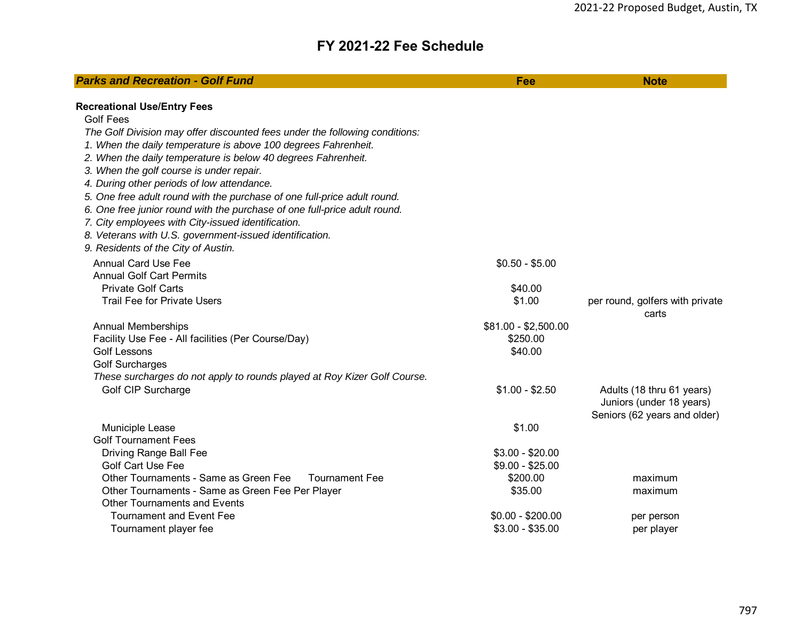## **FY 2021-22 Fee Schedule**

| <b>Recreational Use/Entry Fees</b><br><b>Golf Fees</b><br>The Golf Division may offer discounted fees under the following conditions:<br>1. When the daily temperature is above 100 degrees Fahrenheit. | <b>Parks and Recreation - Golf Fund</b> | Fee             | <b>Note</b>                     |
|---------------------------------------------------------------------------------------------------------------------------------------------------------------------------------------------------------|-----------------------------------------|-----------------|---------------------------------|
|                                                                                                                                                                                                         |                                         |                 |                                 |
|                                                                                                                                                                                                         |                                         |                 |                                 |
|                                                                                                                                                                                                         |                                         |                 |                                 |
|                                                                                                                                                                                                         |                                         |                 |                                 |
| 2. When the daily temperature is below 40 degrees Fahrenheit.                                                                                                                                           |                                         |                 |                                 |
| 3. When the golf course is under repair.                                                                                                                                                                |                                         |                 |                                 |
| 4. During other periods of low attendance.                                                                                                                                                              |                                         |                 |                                 |
| 5. One free adult round with the purchase of one full-price adult round.                                                                                                                                |                                         |                 |                                 |
| 6. One free junior round with the purchase of one full-price adult round.                                                                                                                               |                                         |                 |                                 |
| 7. City employees with City-issued identification.                                                                                                                                                      |                                         |                 |                                 |
| 8. Veterans with U.S. government-issued identification.                                                                                                                                                 |                                         |                 |                                 |
| 9. Residents of the City of Austin.                                                                                                                                                                     |                                         |                 |                                 |
|                                                                                                                                                                                                         |                                         |                 |                                 |
| <b>Annual Card Use Fee</b><br>$$0.50 - $5.00$<br><b>Annual Golf Cart Permits</b>                                                                                                                        |                                         |                 |                                 |
|                                                                                                                                                                                                         |                                         |                 |                                 |
| <b>Private Golf Carts</b><br>\$40.00                                                                                                                                                                    |                                         |                 |                                 |
| \$1.00<br><b>Trail Fee for Private Users</b>                                                                                                                                                            |                                         |                 | per round, golfers with private |
| carts                                                                                                                                                                                                   |                                         |                 |                                 |
| \$81.00 - \$2,500.00<br><b>Annual Memberships</b><br>\$250.00                                                                                                                                           |                                         |                 |                                 |
| Facility Use Fee - All facilities (Per Course/Day)<br><b>Golf Lessons</b><br>\$40.00                                                                                                                    |                                         |                 |                                 |
| <b>Golf Surcharges</b>                                                                                                                                                                                  |                                         |                 |                                 |
|                                                                                                                                                                                                         |                                         |                 |                                 |
| These surcharges do not apply to rounds played at Roy Kizer Golf Course.                                                                                                                                |                                         |                 |                                 |
| Adults (18 thru 61 years)<br>Juniors (under 18 years)                                                                                                                                                   | Golf CIP Surcharge                      | $$1.00 - $2.50$ |                                 |
|                                                                                                                                                                                                         |                                         |                 | Seniors (62 years and older)    |
| \$1.00<br>Municiple Lease                                                                                                                                                                               |                                         |                 |                                 |
| <b>Golf Tournament Fees</b>                                                                                                                                                                             |                                         |                 |                                 |
| Driving Range Ball Fee<br>$$3.00 - $20.00$                                                                                                                                                              |                                         |                 |                                 |
| <b>Golf Cart Use Fee</b><br>$$9.00 - $25.00$                                                                                                                                                            |                                         |                 |                                 |
| Other Tournaments - Same as Green Fee<br>Tournament Fee<br>\$200.00<br>maximum                                                                                                                          |                                         |                 |                                 |
| Other Tournaments - Same as Green Fee Per Player<br>\$35.00<br>maximum                                                                                                                                  |                                         |                 |                                 |
| <b>Other Tournaments and Events</b>                                                                                                                                                                     |                                         |                 |                                 |
| <b>Tournament and Event Fee</b><br>$$0.00 - $200.00$<br>per person                                                                                                                                      |                                         |                 |                                 |
| $$3.00 - $35.00$<br>Tournament player fee<br>per player                                                                                                                                                 |                                         |                 |                                 |